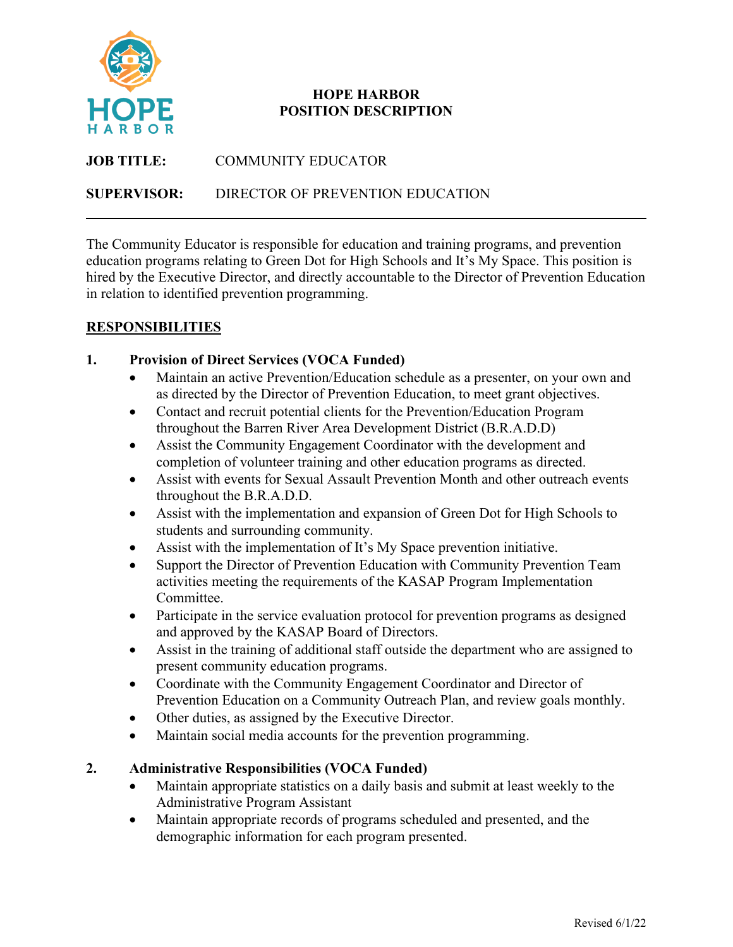

## **HOPE HARBOR POSITION DESCRIPTION**

| <b>JOB TITLE:</b>  | COMMUNITY EDUCATOR               |
|--------------------|----------------------------------|
| <b>SUPERVISOR:</b> | DIRECTOR OF PREVENTION EDUCATION |

The Community Educator is responsible for education and training programs, and prevention education programs relating to Green Dot for High Schools and It's My Space. This position is hired by the Executive Director, and directly accountable to the Director of Prevention Education in relation to identified prevention programming.

# **RESPONSIBILITIES**

### **1. Provision of Direct Services (VOCA Funded)**

- Maintain an active Prevention/Education schedule as a presenter, on your own and as directed by the Director of Prevention Education, to meet grant objectives.
- Contact and recruit potential clients for the Prevention/Education Program throughout the Barren River Area Development District (B.R.A.D.D)
- Assist the Community Engagement Coordinator with the development and completion of volunteer training and other education programs as directed.
- Assist with events for Sexual Assault Prevention Month and other outreach events throughout the B.R.A.D.D.
- Assist with the implementation and expansion of Green Dot for High Schools to students and surrounding community.
- Assist with the implementation of It's My Space prevention initiative.
- Support the Director of Prevention Education with Community Prevention Team activities meeting the requirements of the KASAP Program Implementation Committee.
- Participate in the service evaluation protocol for prevention programs as designed and approved by the KASAP Board of Directors.
- Assist in the training of additional staff outside the department who are assigned to present community education programs.
- Coordinate with the Community Engagement Coordinator and Director of Prevention Education on a Community Outreach Plan, and review goals monthly.
- Other duties, as assigned by the Executive Director.
- Maintain social media accounts for the prevention programming.

# **2. Administrative Responsibilities (VOCA Funded)**

- Maintain appropriate statistics on a daily basis and submit at least weekly to the Administrative Program Assistant
- Maintain appropriate records of programs scheduled and presented, and the demographic information for each program presented.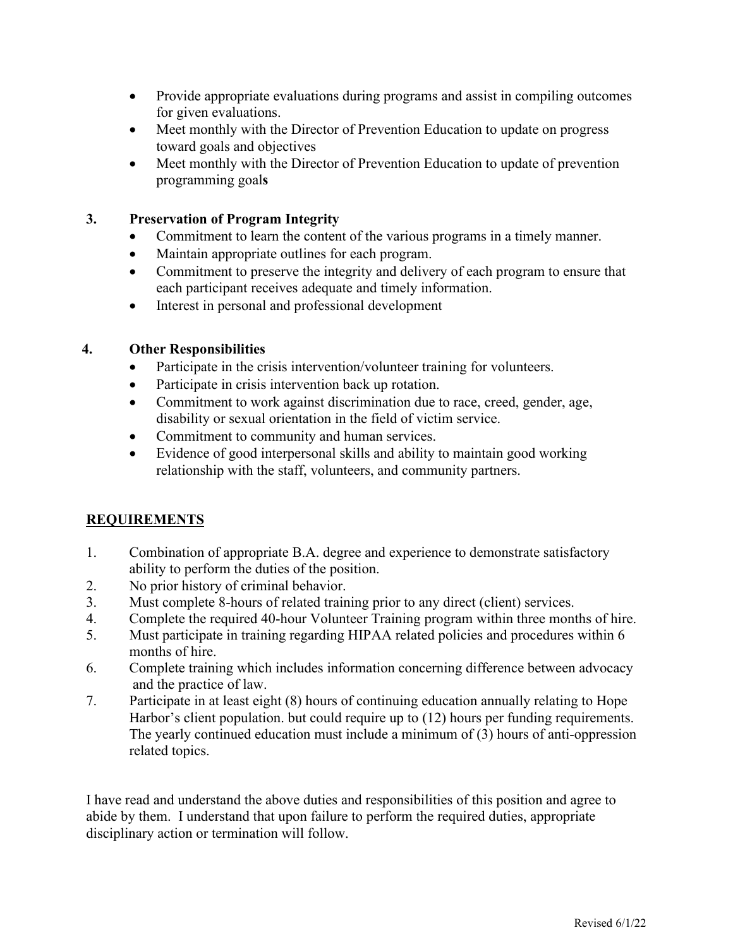- Provide appropriate evaluations during programs and assist in compiling outcomes for given evaluations.
- Meet monthly with the Director of Prevention Education to update on progress toward goals and objectives
- Meet monthly with the Director of Prevention Education to update of prevention programming goal**s**

#### **3. Preservation of Program Integrity**

- Commitment to learn the content of the various programs in a timely manner.
- Maintain appropriate outlines for each program.
- Commitment to preserve the integrity and delivery of each program to ensure that each participant receives adequate and timely information.
- Interest in personal and professional development

#### **4. Other Responsibilities**

- Participate in the crisis intervention/volunteer training for volunteers.
- Participate in crisis intervention back up rotation.
- Commitment to work against discrimination due to race, creed, gender, age, disability or sexual orientation in the field of victim service.
- Commitment to community and human services.
- Evidence of good interpersonal skills and ability to maintain good working relationship with the staff, volunteers, and community partners.

### **REQUIREMENTS**

- 1. Combination of appropriate B.A. degree and experience to demonstrate satisfactory ability to perform the duties of the position.
- 2. No prior history of criminal behavior.
- 3. Must complete 8-hours of related training prior to any direct (client) services.
- 4. Complete the required 40-hour Volunteer Training program within three months of hire.
- 5. Must participate in training regarding HIPAA related policies and procedures within 6 months of hire.
- 6. Complete training which includes information concerning difference between advocacy and the practice of law.
- 7. Participate in at least eight (8) hours of continuing education annually relating to Hope Harbor's client population. but could require up to (12) hours per funding requirements. The yearly continued education must include a minimum of (3) hours of anti-oppression related topics.

I have read and understand the above duties and responsibilities of this position and agree to abide by them. I understand that upon failure to perform the required duties, appropriate disciplinary action or termination will follow.